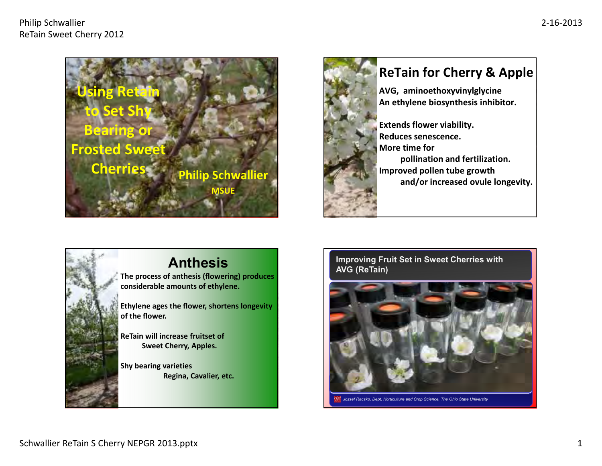





## **Anthesis**

 **The process of anthesis (flowering) produces considerable amounts of ethylene.**

**Ethylene ages the flower, shortens longevity of the flower.**

**ReTain will increase fruitset of Sweet Cherry, Apples.**

**Shy bearing varieties Regina, Cavalier, etc.**

#### **Improving Fruit Set in Sweet Cherries with AVG (ReTain)**

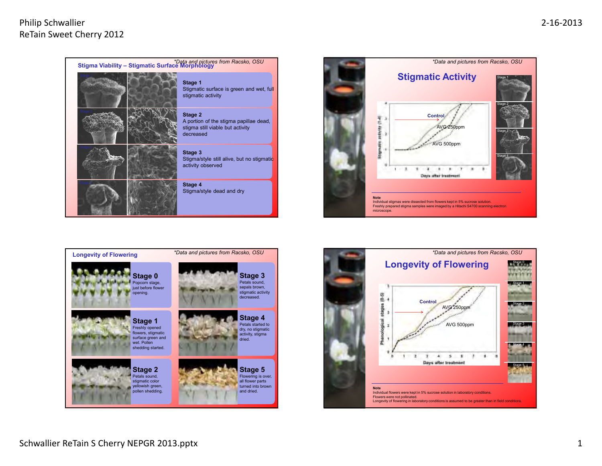### Philip SchwallierReTain Sweet Cherry 2012







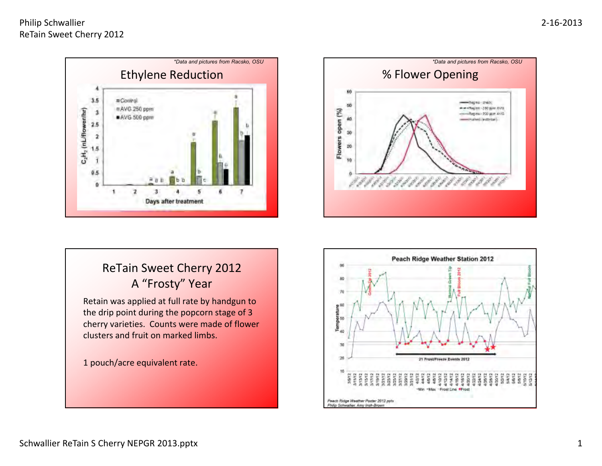### Philip SchwallierReTain Sweet Cherry 2012





# ReTain Sweet Cherry 2012<sup>A</sup> "Frosty" Year

Retain was applied at full rate by handgun to the drip point during the popcorn stage of 3 cherry varieties. Counts were made of flower clusters and fruit on marked limbs.

1 pouch/acre equivalent rate.

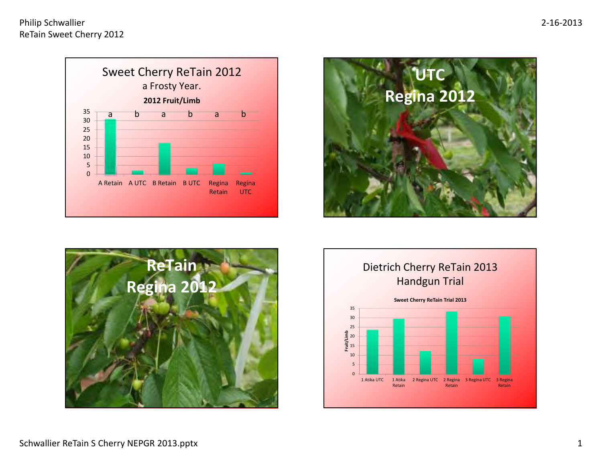





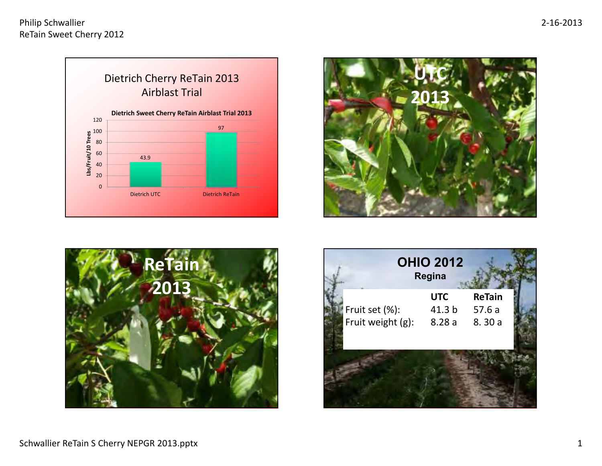





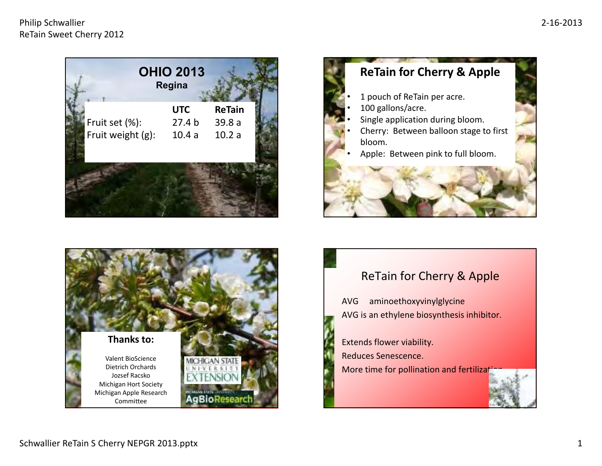





# ReTain for Cherry & Apple

AVG aminoethoxyvinylglycineAVG is an ethylene biosynthesis inhibitor.

Extends flower viability.Reduces Senescence.More time for pollination and fertilization.